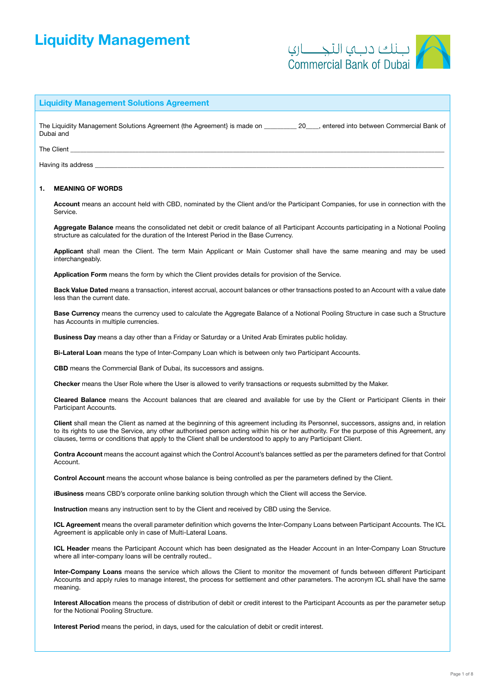# Liquidity Management



# Liquidity Management Solutions Agreement

The Liquidity Management Solutions Agreement (the Agreement) is made on and the 20 and the of the of the of the Agreement of the Agreement of the Agreement of the Agreement of the Agreement of the Agreement of the Agreemen Dubai and

#### The Client \_\_\_\_\_\_\_\_\_\_\_\_\_\_\_\_\_\_\_\_\_\_\_\_\_\_\_\_\_\_\_\_\_\_\_\_\_\_\_\_\_\_\_\_\_\_\_\_\_\_\_\_\_\_\_\_\_\_\_\_\_\_\_\_\_\_\_\_\_\_\_\_\_\_\_\_\_\_\_\_\_\_\_\_\_\_\_\_\_\_\_\_\_\_\_\_\_\_\_\_\_\_\_\_\_\_\_\_\_\_\_\_\_\_\_

Having its address

## 1. MEANING OF WORDS

Account means an account held with CBD, nominated by the Client and/or the Participant Companies, for use in connection with the Service.

Aggregate Balance means the consolidated net debit or credit balance of all Participant Accounts participating in a Notional Pooling structure as calculated for the duration of the Interest Period in the Base Currency.

Applicant shall mean the Client. The term Main Applicant or Main Customer shall have the same meaning and may be used interchangeably.

Application Form means the form by which the Client provides details for provision of the Service.

Back Value Dated means a transaction, interest accrual, account balances or other transactions posted to an Account with a value date less than the current date.

Base Currency means the currency used to calculate the Aggregate Balance of a Notional Pooling Structure in case such a Structure has Accounts in multiple currencies.

Business Day means a day other than a Friday or Saturday or a United Arab Emirates public holiday.

Bi-Lateral Loan means the type of Inter-Company Loan which is between only two Participant Accounts.

CBD means the Commercial Bank of Dubai, its successors and assigns.

Checker means the User Role where the User is allowed to verify transactions or requests submitted by the Maker.

Cleared Balance means the Account balances that are cleared and available for use by the Client or Participant Clients in their Participant Accounts.

Client shall mean the Client as named at the beginning of this agreement including its Personnel, successors, assigns and, in relation to its rights to use the Service, any other authorised person acting within his or her authority. For the purpose of this Agreement, any clauses, terms or conditions that apply to the Client shall be understood to apply to any Participant Client.

Contra Account means the account against which the Control Account's balances settled as per the parameters defined for that Control Account.

Control Account means the account whose balance is being controlled as per the parameters defined by the Client.

iBusiness means CBD's corporate online banking solution through which the Client will access the Service.

Instruction means any instruction sent to by the Client and received by CBD using the Service.

ICL Agreement means the overall parameter definition which governs the Inter-Company Loans between Participant Accounts. The ICL Agreement is applicable only in case of Multi-Lateral Loans.

ICL Header means the Participant Account which has been designated as the Header Account in an Inter-Company Loan Structure where all inter-company loans will be centrally routed..

Inter-Company Loans means the service which allows the Client to monitor the movement of funds between different Participant Accounts and apply rules to manage interest, the process for settlement and other parameters. The acronym ICL shall have the same meaning.

Interest Allocation means the process of distribution of debit or credit interest to the Participant Accounts as per the parameter setup for the Notional Pooling Structure.

Interest Period means the period, in days, used for the calculation of debit or credit interest.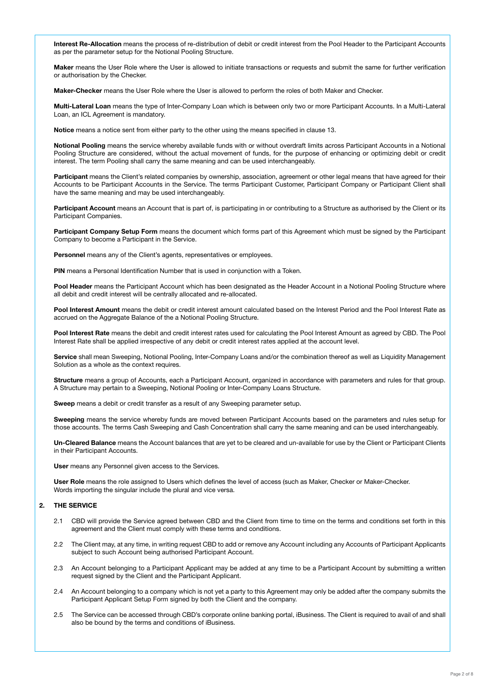Interest Re-Allocation means the process of re-distribution of debit or credit interest from the Pool Header to the Participant Accounts as per the parameter setup for the Notional Pooling Structure.

Maker means the User Role where the User is allowed to initiate transactions or requests and submit the same for further verification or authorisation by the Checker.

Maker-Checker means the User Role where the User is allowed to perform the roles of both Maker and Checker.

Multi-Lateral Loan means the type of Inter-Company Loan which is between only two or more Participant Accounts. In a Multi-Lateral Loan, an ICL Agreement is mandatory.

Notice means a notice sent from either party to the other using the means specified in clause 13.

Notional Pooling means the service whereby available funds with or without overdraft limits across Participant Accounts in a Notional Pooling Structure are considered, without the actual movement of funds, for the purpose of enhancing or optimizing debit or credit interest. The term Pooling shall carry the same meaning and can be used interchangeably.

Participant means the Client's related companies by ownership, association, agreement or other legal means that have agreed for their Accounts to be Participant Accounts in the Service. The terms Participant Customer, Participant Company or Participant Client shall have the same meaning and may be used interchangeably.

Participant Account means an Account that is part of, is participating in or contributing to a Structure as authorised by the Client or its Participant Companies.

Participant Company Setup Form means the document which forms part of this Agreement which must be signed by the Participant Company to become a Participant in the Service.

Personnel means any of the Client's agents, representatives or employees.

PIN means a Personal Identification Number that is used in conjunction with a Token.

Pool Header means the Participant Account which has been designated as the Header Account in a Notional Pooling Structure where all debit and credit interest will be centrally allocated and re-allocated.

Pool Interest Amount means the debit or credit interest amount calculated based on the Interest Period and the Pool Interest Rate as accrued on the Aggregate Balance of the a Notional Pooling Structure.

Pool Interest Rate means the debit and credit interest rates used for calculating the Pool Interest Amount as agreed by CBD. The Pool Interest Rate shall be applied irrespective of any debit or credit interest rates applied at the account level.

Service shall mean Sweeping, Notional Pooling, Inter-Company Loans and/or the combination thereof as well as Liquidity Management Solution as a whole as the context requires.

Structure means a group of Accounts, each a Participant Account, organized in accordance with parameters and rules for that group. A Structure may pertain to a Sweeping, Notional Pooling or Inter-Company Loans Structure.

Sweep means a debit or credit transfer as a result of any Sweeping parameter setup.

Sweeping means the service whereby funds are moved between Participant Accounts based on the parameters and rules setup for those accounts. The terms Cash Sweeping and Cash Concentration shall carry the same meaning and can be used interchangeably.

Un-Cleared Balance means the Account balances that are yet to be cleared and un-available for use by the Client or Participant Clients in their Participant Accounts.

User means any Personnel given access to the Services.

User Role means the role assigned to Users which defines the level of access (such as Maker, Checker or Maker-Checker. Words importing the singular include the plural and vice versa.

## 2. THE SERVICE

- 2.1 CBD will provide the Service agreed between CBD and the Client from time to time on the terms and conditions set forth in this agreement and the Client must comply with these terms and conditions.
- 2.2 The Client may, at any time, in writing request CBD to add or remove any Account including any Accounts of Participant Applicants subject to such Account being authorised Participant Account.
- 2.3 An Account belonging to a Participant Applicant may be added at any time to be a Participant Account by submitting a written request signed by the Client and the Participant Applicant.
- 2.4 An Account belonging to a company which is not yet a party to this Agreement may only be added after the company submits the Participant Applicant Setup Form signed by both the Client and the company.
- 2.5 The Service can be accessed through CBD's corporate online banking portal, iBusiness. The Client is required to avail of and shall also be bound by the terms and conditions of iBusiness.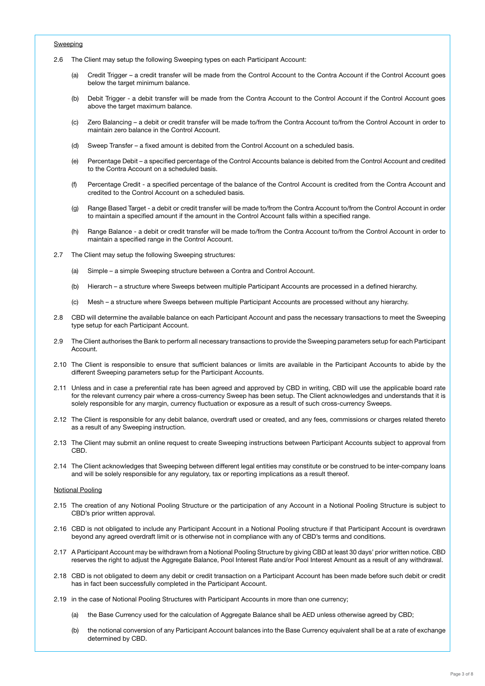## Sweeping

- 2.6 The Client may setup the following Sweeping types on each Participant Account:
	- (a) Credit Trigger a credit transfer will be made from the Control Account to the Contra Account if the Control Account goes below the target minimum balance.
	- (b) Debit Trigger a debit transfer will be made from the Contra Account to the Control Account if the Control Account goes above the target maximum balance.
	- (c) Zero Balancing a debit or credit transfer will be made to/from the Contra Account to/from the Control Account in order to maintain zero balance in the Control Account.
	- (d) Sweep Transfer a fixed amount is debited from the Control Account on a scheduled basis.
	- (e) Percentage Debit a specified percentage of the Control Accounts balance is debited from the Control Account and credited to the Contra Account on a scheduled basis.
	- (f) Percentage Credit a specified percentage of the balance of the Control Account is credited from the Contra Account and credited to the Control Account on a scheduled basis.
	- (g) Range Based Target a debit or credit transfer will be made to/from the Contra Account to/from the Control Account in order to maintain a specified amount if the amount in the Control Account falls within a specified range.
	- (h) Range Balance a debit or credit transfer will be made to/from the Contra Account to/from the Control Account in order to maintain a specified range in the Control Account.
- 2.7 The Client may setup the following Sweeping structures:
	- (a) Simple a simple Sweeping structure between a Contra and Control Account.
	- (b) Hierarch a structure where Sweeps between multiple Participant Accounts are processed in a defined hierarchy.
	- (c) Mesh a structure where Sweeps between multiple Participant Accounts are processed without any hierarchy.
- 2.8 CBD will determine the available balance on each Participant Account and pass the necessary transactions to meet the Sweeping type setup for each Participant Account.
- 2.9 The Client authorises the Bank to perform all necessary transactions to provide the Sweeping parameters setup for each Participant Account.
- 2.10 The Client is responsible to ensure that sufficient balances or limits are available in the Participant Accounts to abide by the different Sweeping parameters setup for the Participant Accounts.
- 2.11 Unless and in case a preferential rate has been agreed and approved by CBD in writing, CBD will use the applicable board rate for the relevant currency pair where a cross-currency Sweep has been setup. The Client acknowledges and understands that it is solely responsible for any margin, currency fluctuation or exposure as a result of such cross-currency Sweeps.
- 2.12 The Client is responsible for any debit balance, overdraft used or created, and any fees, commissions or charges related thereto as a result of any Sweeping instruction.
- 2.13 The Client may submit an online request to create Sweeping instructions between Participant Accounts subject to approval from CBD.
- 2.14 The Client acknowledges that Sweeping between different legal entities may constitute or be construed to be inter-company loans and will be solely responsible for any regulatory, tax or reporting implications as a result thereof.

#### Notional Pooling

- 2.15 The creation of any Notional Pooling Structure or the participation of any Account in a Notional Pooling Structure is subject to CBD's prior written approval.
- 2.16 CBD is not obligated to include any Participant Account in a Notional Pooling structure if that Participant Account is overdrawn beyond any agreed overdraft limit or is otherwise not in compliance with any of CBD's terms and conditions.
- 2.17 A Participant Account may be withdrawn from a Notional Pooling Structure by giving CBD at least 30 days' prior written notice. CBD reserves the right to adjust the Aggregate Balance, Pool Interest Rate and/or Pool Interest Amount as a result of any withdrawal.
- 2.18 CBD is not obligated to deem any debit or credit transaction on a Participant Account has been made before such debit or credit has in fact been successfully completed in the Participant Account.
- 2.19 in the case of Notional Pooling Structures with Participant Accounts in more than one currency;
	- (a) the Base Currency used for the calculation of Aggregate Balance shall be AED unless otherwise agreed by CBD;
	- (b) the notional conversion of any Participant Account balances into the Base Currency equivalent shall be at a rate of exchange determined by CBD.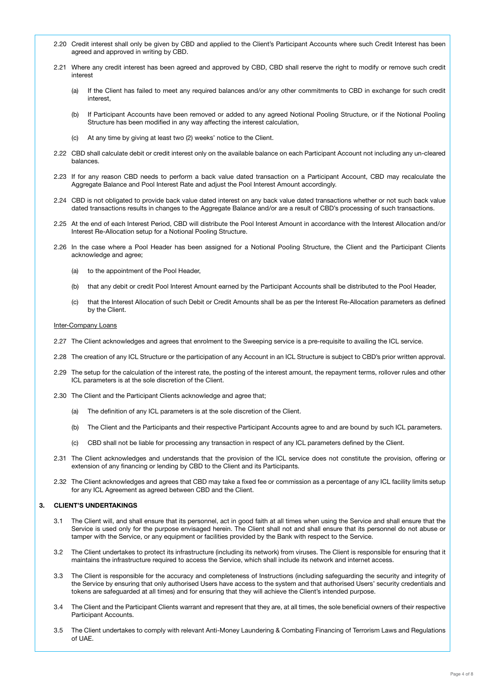- 2.20 Credit interest shall only be given by CBD and applied to the Client's Participant Accounts where such Credit Interest has been agreed and approved in writing by CBD.
- 2.21 Where any credit interest has been agreed and approved by CBD, CBD shall reserve the right to modify or remove such credit interest
	- (a) If the Client has failed to meet any required balances and/or any other commitments to CBD in exchange for such credit interest,
	- (b) If Participant Accounts have been removed or added to any agreed Notional Pooling Structure, or if the Notional Pooling Structure has been modified in any way affecting the interest calculation,
	- (c) At any time by giving at least two (2) weeks' notice to the Client.
- 2.22 CBD shall calculate debit or credit interest only on the available balance on each Participant Account not including any un-cleared balances.
- 2.23 If for any reason CBD needs to perform a back value dated transaction on a Participant Account, CBD may recalculate the Aggregate Balance and Pool Interest Rate and adjust the Pool Interest Amount accordingly.
- 2.24 CBD is not obligated to provide back value dated interest on any back value dated transactions whether or not such back value dated transactions results in changes to the Aggregate Balance and/or are a result of CBD's processing of such transactions.
- 2.25 At the end of each Interest Period, CBD will distribute the Pool Interest Amount in accordance with the Interest Allocation and/or Interest Re-Allocation setup for a Notional Pooling Structure.
- 2.26 In the case where a Pool Header has been assigned for a Notional Pooling Structure, the Client and the Participant Clients acknowledge and agree;
	- (a) to the appointment of the Pool Header,
	- (b) that any debit or credit Pool Interest Amount earned by the Participant Accounts shall be distributed to the Pool Header,
	- (c) that the Interest Allocation of such Debit or Credit Amounts shall be as per the Interest Re-Allocation parameters as defined by the Client.

#### Inter-Company Loans

- 2.27 The Client acknowledges and agrees that enrolment to the Sweeping service is a pre-requisite to availing the ICL service.
- 2.28 The creation of any ICL Structure or the participation of any Account in an ICL Structure is subject to CBD's prior written approval.
- 2.29 The setup for the calculation of the interest rate, the posting of the interest amount, the repayment terms, rollover rules and other ICL parameters is at the sole discretion of the Client.
- 2.30 The Client and the Participant Clients acknowledge and agree that;
	- (a) The definition of any ICL parameters is at the sole discretion of the Client.
	- (b) The Client and the Participants and their respective Participant Accounts agree to and are bound by such ICL parameters.
	- (c) CBD shall not be liable for processing any transaction in respect of any ICL parameters defined by the Client.
- 2.31 The Client acknowledges and understands that the provision of the ICL service does not constitute the provision, offering or extension of any financing or lending by CBD to the Client and its Participants.
- 2.32 The Client acknowledges and agrees that CBD may take a fixed fee or commission as a percentage of any ICL facility limits setup for any ICL Agreement as agreed between CBD and the Client.

## 3. CLIENT'S UNDERTAKINGS

- 3.1 The Client will, and shall ensure that its personnel, act in good faith at all times when using the Service and shall ensure that the Service is used only for the purpose envisaged herein. The Client shall not and shall ensure that its personnel do not abuse or tamper with the Service, or any equipment or facilities provided by the Bank with respect to the Service.
- 3.2 The Client undertakes to protect its infrastructure (including its network) from viruses. The Client is responsible for ensuring that it maintains the infrastructure required to access the Service, which shall include its network and internet access.
- 3.3 The Client is responsible for the accuracy and completeness of Instructions (including safeguarding the security and integrity of the Service by ensuring that only authorised Users have access to the system and that authorised Users' security credentials and tokens are safeguarded at all times) and for ensuring that they will achieve the Client's intended purpose.
- 3.4 The Client and the Participant Clients warrant and represent that they are, at all times, the sole beneficial owners of their respective Participant Accounts.
- 3.5 The Client undertakes to comply with relevant Anti-Money Laundering & Combating Financing of Terrorism Laws and Regulations of UAE.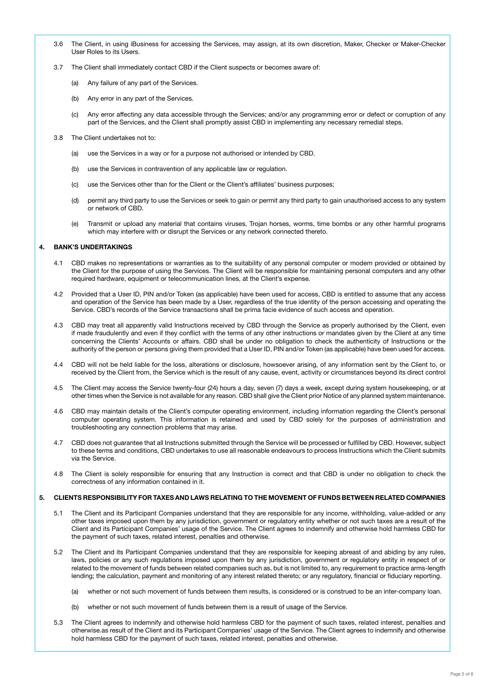- 3.6 The Client, in using iBusiness for accessing the Services, may assign, at its own discretion, Maker, Checker or Maker-Checker User Roles to its Users.
- 3.7 The Client shall immediately contact CBD if the Client suspects or becomes aware of:
	- (a) Any failure of any part of the Services.
	- (b) Any error in any part of the Services.
	- (c) Any error affecting any data accessible through the Services; and/or any programming error or defect or corruption of any part of the Services, and the Client shall promptly assist CBD in implementing any necessary remedial steps.
- 3.8 The Client undertakes not to:
	- (a) use the Services in a way or for a purpose not authorised or intended by CBD.
	- (b) use the Services in contravention of any applicable law or regulation.
	- (c) use the Services other than for the Client or the Client's affiliates' business purposes;
	- (d) permit any third party to use the Services or seek to gain or permit any third party to gain unauthorised access to any system or network of CBD.
	- (e) Transmit or upload any material that contains viruses, Trojan horses, worms, time bombs or any other harmful programs which may interfere with or disrupt the Services or any network connected thereto.

# 4. BANK'S UNDERTAKINGS

- 4.1 CBD makes no representations or warranties as to the suitability of any personal computer or modem provided or obtained by the Client for the purpose of using the Services. The Client will be responsible for maintaining personal computers and any other required hardware, equipment or telecommunication lines, at the Client's expense.
- 4.2 Provided that a User ID, PIN and/or Token (as applicable) have been used for access, CBD is entitled to assume that any access and operation of the Service has been made by a User, regardless of the true identity of the person accessing and operating the Service. CBD's records of the Service transactions shall be prima facie evidence of such access and operation.
- 4.3 CBD may treat all apparently valid Instructions received by CBD through the Service as properly authorised by the Client, even if made fraudulently and even if they conflict with the terms of any other instructions or mandates given by the Client at any time concerning the Clients' Accounts or affairs. CBD shall be under no obligation to check the authenticity of Instructions or the authority of the person or persons giving them provided that a User ID, PIN and/or Token (as applicable) have been used for access.
- 4.4 CBD will not be held liable for the loss, alterations or disclosure, howsoever arising, of any information sent by the Client to, or received by the Client from, the Service which is the result of any cause, event, activity or circumstances beyond its direct control
- 4.5 The Client may access the Service twenty-four (24) hours a day, seven (7) days a week, except during system housekeeping, or at other times when the Service is not available for any reason. CBD shall give the Client prior Notice of any planned system maintenance.
- 4.6 CBD may maintain details of the Client's computer operating environment, including information regarding the Client's personal computer operating system. This information is retained and used by CBD solely for the purposes of administration and troubleshooting any connection problems that may arise.
- 4.7 CBD does not guarantee that all Instructions submitted through the Service will be processed or fulfilled by CBD. However, subject to these terms and conditions, CBD undertakes to use all reasonable endeavours to process Instructions which the Client submits via the Service.
- 4.8 The Client is solely responsible for ensuring that any Instruction is correct and that CBD is under no obligation to check the correctness of any information contained in it.

# 5. CLIENTS RESPONSIBILITY FOR TAXES AND LAWS RELATING TO THE MOVEMENT OF FUNDS BETWEEN RELATED COMPANIES

- 5.1 The Client and its Participant Companies understand that they are responsible for any income, withholding, value-added or any other taxes imposed upon them by any jurisdiction, government or regulatory entity whether or not such taxes are a result of the Client and its Participant Companies' usage of the Service. The Client agrees to indemnify and otherwise hold harmless CBD for the payment of such taxes, related interest, penalties and otherwise.
- 5.2 The Client and its Participant Companies understand that they are responsible for keeping abreast of and abiding by any rules, laws, policies or any such regulations imposed upon them by any jurisdiction, government or regulatory entity in respect of or related to the movement of funds between related companies such as, but is not limited to, any requirement to practice arms-length lending; the calculation, payment and monitoring of any interest related thereto; or any regulatory, financial or fiduciary reporting.
	- (a) whether or not such movement of funds between them results, is considered or is construed to be an inter-company loan.
	- (b) whether or not such movement of funds between them is a result of usage of the Service.
- 5.3 The Client agrees to indemnify and otherwise hold harmless CBD for the payment of such taxes, related interest, penalties and otherwise.as result of the Client and its Participant Companies' usage of the Service. The Client agrees to indemnify and otherwise hold harmless CBD for the payment of such taxes, related interest, penalties and otherwise.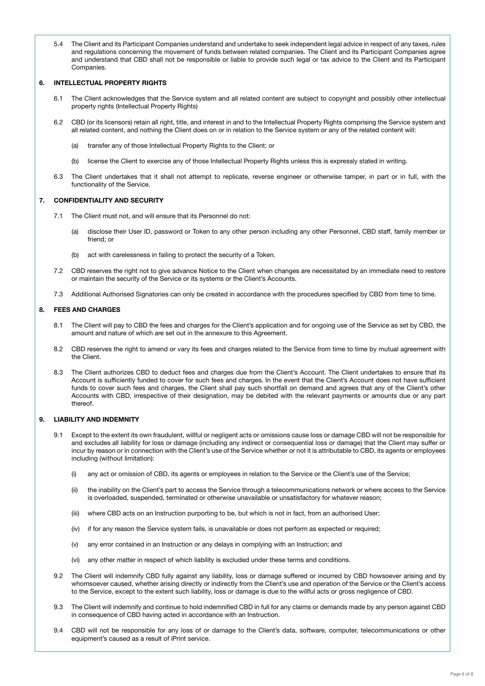5.4 The Client and its Participant Companies understand and undertake to seek independent legal advice in respect of any taxes, rules and regulations concerning the movement of funds between related companies. The Client and its Participant Companies agree and understand that CBD shall not be responsible or liable to provide such legal or tax advice to the Client and its Participant **Companies** 

# 6. INTELLECTUAL PROPERTY RIGHTS

- 6.1 The Client acknowledges that the Service system and all related content are subject to copyright and possibly other intellectual property rights (Intellectual Property Rights)
- 6.2 CBD (or its licensors) retain all right, title, and interest in and to the Intellectual Property Rights comprising the Service system and all related content, and nothing the Client does on or in relation to the Service system or any of the related content will:
	- (a) transfer any of those Intellectual Property Rights to the Client; or
	- (b) license the Client to exercise any of those Intellectual Property Rights unless this is expressly stated in writing.
- 6.3 The Client undertakes that it shall not attempt to replicate, reverse engineer or otherwise tamper, in part or in full, with the functionality of the Service.

#### 7. CONFIDENTIALITY AND SECURITY

- 7.1 The Client must not, and will ensure that its Personnel do not:
	- (a) disclose their User ID, password or Token to any other person including any other Personnel, CBD staff, family member or friend; or
	- (b) act with carelessness in failing to protect the security of a Token.
- 7.2 CBD reserves the right not to give advance Notice to the Client when changes are necessitated by an immediate need to restore or maintain the security of the Service or its systems or the Client's Accounts.
- 7.3 Additional Authorised Signatories can only be created in accordance with the procedures specified by CBD from time to time.

## 8. FEES AND CHARGES

- 8.1 The Client will pay to CBD the fees and charges for the Client's application and for ongoing use of the Service as set by CBD, the amount and nature of which are set out in the annexure to this Agreement.
- 8.2 CBD reserves the right to amend or vary its fees and charges related to the Service from time to time by mutual agreement with the Client.
- 8.3 The Client authorizes CBD to deduct fees and charges due from the Client's Account. The Client undertakes to ensure that its Account is sufficiently funded to cover for such fees and charges. In the event that the Client's Account does not have sufficient funds to cover such fees and charges, the Client shall pay such shortfall on demand and agrees that any of the Client's other Accounts with CBD, irrespective of their designation, may be debited with the relevant payments or amounts due or any part thereof.

## 9. LIABILITY AND INDEMNITY

- 9.1 Except to the extent its own fraudulent, willful or negligent acts or omissions cause loss or damage CBD will not be responsible for and excludes all liability for loss or damage (including any indirect or consequential loss or damage) that the Client may suffer or incur by reason or in connection with the Client's use of the Service whether or not it is attributable to CBD, its agents or employees including (without limitation):
	- (i) any act or omission of CBD, its agents or employees in relation to the Service or the Client's use of the Service;
	- (ii) the inability on the Client's part to access the Service through a telecommunications network or where access to the Service is overloaded, suspended, terminated or otherwise unavailable or unsatisfactory for whatever reason;
	- (iii) where CBD acts on an Instruction purporting to be, but which is not in fact, from an authorised User;
	- (iv) if for any reason the Service system fails, is unavailable or does not perform as expected or required;
	- (v) any error contained in an Instruction or any delays in complying with an Instruction; and
	- (vi) any other matter in respect of which liability is excluded under these terms and conditions.
- 9.2 The Client will indemnify CBD fully against any liability, loss or damage suffered or incurred by CBD howsoever arising and by whomsoever caused, whether arising directly or indirectly from the Client's use and operation of the Service or the Client's access to the Service, except to the extent such liability, loss or damage is due to the willful acts or gross negligence of CBD.
- 9.3 The Client will indemnify and continue to hold indemnified CBD in full for any claims or demands made by any person against CBD in consequence of CBD having acted in accordance with an Instruction.
- 9.4 CBD will not be responsible for any loss of or damage to the Client's data, software, computer, telecommunications or other equipment's caused as a result of iPrint service.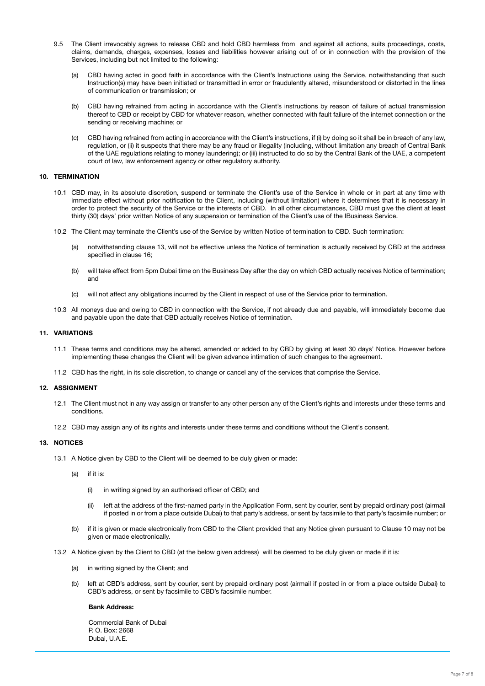- 9.5 The Client irrevocably agrees to release CBD and hold CBD harmless from and against all actions, suits proceedings, costs, claims, demands, charges, expenses, losses and liabilities however arising out of or in connection with the provision of the Services, including but not limited to the following:
	- (a) CBD having acted in good faith in accordance with the Client's Instructions using the Service, notwithstanding that such Instruction(s) may have been initiated or transmitted in error or fraudulently altered, misunderstood or distorted in the lines of communication or transmission; or
	- (b) CBD having refrained from acting in accordance with the Client's instructions by reason of failure of actual transmission thereof to CBD or receipt by CBD for whatever reason, whether connected with fault failure of the internet connection or the sending or receiving machine; or
	- (c) CBD having refrained from acting in accordance with the Client's instructions, if (i) by doing so it shall be in breach of any law, regulation, or (ii) it suspects that there may be any fraud or illegality (including, without limitation any breach of Central Bank of the UAE regulations relating to money laundering); or (iii) instructed to do so by the Central Bank of the UAE, a competent court of law, law enforcement agency or other regulatory authority.

# 10. TERMINATION

- 10.1 CBD may, in its absolute discretion, suspend or terminate the Client's use of the Service in whole or in part at any time with immediate effect without prior notification to the Client, including (without limitation) where it determines that it is necessary in order to protect the security of the Service or the interests of CBD. In all other circumstances, CBD must give the client at least thirty (30) days' prior written Notice of any suspension or termination of the Client's use of the IBusiness Service.
- 10.2 The Client may terminate the Client's use of the Service by written Notice of termination to CBD. Such termination:
	- (a) notwithstanding clause 13, will not be effective unless the Notice of termination is actually received by CBD at the address specified in clause 16;
	- (b) will take effect from 5pm Dubai time on the Business Day after the day on which CBD actually receives Notice of termination; and
	- (c) will not affect any obligations incurred by the Client in respect of use of the Service prior to termination.
- 10.3 All moneys due and owing to CBD in connection with the Service, if not already due and payable, will immediately become due and payable upon the date that CBD actually receives Notice of termination.

## 11. VARIATIONS

- 11.1 These terms and conditions may be altered, amended or added to by CBD by giving at least 30 days' Notice. However before implementing these changes the Client will be given advance intimation of such changes to the agreement.
- 11.2 CBD has the right, in its sole discretion, to change or cancel any of the services that comprise the Service.

# 12. ASSIGNMENT

- 12.1 The Client must not in any way assign or transfer to any other person any of the Client's rights and interests under these terms and conditions.
- 12.2 CBD may assign any of its rights and interests under these terms and conditions without the Client's consent.

#### 13. NOTICES

- 13.1 A Notice given by CBD to the Client will be deemed to be duly given or made:
	- (a) if it is:
		- (i) in writing signed by an authorised officer of CBD; and
		- (ii) left at the address of the first-named party in the Application Form, sent by courier, sent by prepaid ordinary post (airmail if posted in or from a place outside Dubai) to that party's address, or sent by facsimile to that party's facsimile number; or
	- (b) if it is given or made electronically from CBD to the Client provided that any Notice given pursuant to Clause 10 may not be given or made electronically.
- 13.2 A Notice given by the Client to CBD (at the below given address) will be deemed to be duly given or made if it is:
	- (a) in writing signed by the Client; and
	- (b) left at CBD's address, sent by courier, sent by prepaid ordinary post (airmail if posted in or from a place outside Dubai) to CBD's address, or sent by facsimile to CBD's facsimile number.

#### Bank Address:

Commercial Bank of Dubai P. O. Box: 2668 Dubai, U.A.E.